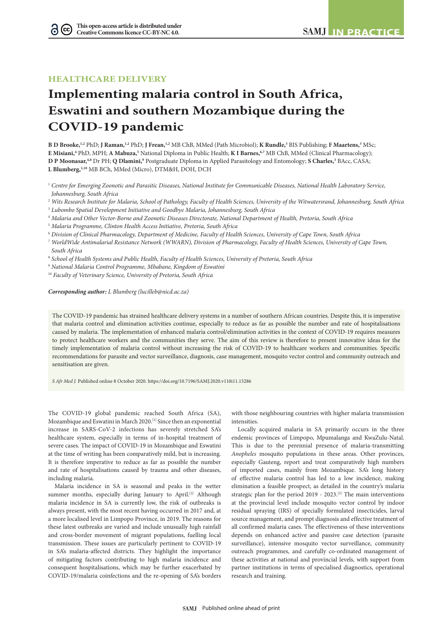# **HEALTHCARE DELIVERY**

# **Implementing malaria control in South Africa, Eswatini and southern Mozambique during the COVID-19 pandemic**

**B D Brooke,1,2** PhD; **J Raman,1,2** PhD; **J Frean,1,2** MB ChB, MMed (Path Microbiol); **K Rundle,3** BIS Publishing; **F Maartens,3** MSc; **E Misiani,**<sup>4</sup> PhD, MPH; **A Mabuza,**<sup>5</sup> National Diploma in Public Health; **K I Barnes,**<sup>6,7</sup> MB ChB, MMed (Clinical Pharmacology); D P Moonasar,<sup>4,8</sup> Dr PH; Q Dlamini,<sup>9</sup> Postgraduate Diploma in Applied Parasitology and Entomology; S Charles,<sup>3</sup> BAcc, CASA; **L Blumberg,1,10** MB BCh, MMed (Micro), DTM&H, DOH, DCH

<sup>1</sup> *Centre for Emerging Zoonotic and Parasitic Diseases, National Institute for Communicable Diseases, National Health Laboratory Service, Johannesburg, South Africa*

2  *Wits Research Institute for Malaria, School of Pathology, Faculty of Health Sciences, University of the Witwatersrand, Johannesburg, South Africa*

3  *Lubombo Spatial Development Initiative and Goodbye Malaria, Johannesburg, South Africa*

<sup>4</sup> *Malaria and Other Vector-Borne and Zoonotic Diseases Directorate, National Department of Health, Pretoria, South Africa*

5  *Malaria Programme, Clinton Health Access Initiative, Pretoria, South Africa*

<sup>6</sup> *Division of Clinical Pharmacology, Department of Medicine, Faculty of Health Sciences, University of Cape Town, South Africa*

<sup>7</sup> *WorldWide Antimalarial Resistance Network (WWARN), Division of Pharmacology, Faculty of Health Sciences, University of Cape Town, South Africa*

8  *School of Health Systems and Public Health, Faculty of Health Sciences, University of Pretoria, South Africa*

<sup>9</sup> *National Malaria Control Programme, Mbabane, Kingdom of Eswatini*

<sup>10</sup> *Faculty of Veterinary Science, University of Pretoria, South Africa*

*Corresponding author: L Blumberg (lucilleb@nicd.ac.za)*

The COVID-19 pandemic has strained healthcare delivery systems in a number of southern African countries. Despite this, it is imperative that malaria control and elimination activities continue, especially to reduce as far as possible the number and rate of hospitalisations caused by malaria. The implementation of enhanced malaria control/elimination activities in the context of COVID-19 requires measures to protect healthcare workers and the communities they serve. The aim of this review is therefore to present innovative ideas for the timely implementation of malaria control without increasing the risk of COVID-19 to healthcare workers and communities. Specific recommendations for parasite and vector surveillance, diagnosis, case management, mosquito vector control and community outreach and sensitisation are given.

*S Afr Med J.* Published online 8 October 2020. https://doi.org/10.7196/SAMJ.2020.v110i11.15286

The COVID-19 global pandemic reached South Africa (SA), Mozambique and Eswatini in March 2020.[1] Since then an exponential increase in SARS-CoV-2 infections has severely stretched SA's healthcare system, especially in terms of in-hospital treatment of severe cases. The impact of COVID-19 in Mozambique and Eswatini at the time of writing has been comparatively mild, but is increasing. It is therefore imperative to reduce as far as possible the number and rate of hospitalisations caused by trauma and other diseases, including malaria.

Malaria incidence in SA is seasonal and peaks in the wetter summer months, especially during January to April.<sup>[2]</sup> Although malaria incidence in SA is currently low, the risk of outbreaks is always present, with the most recent having occurred in 2017 and, at a more localised level in Limpopo Province, in 2019. The reasons for these latest outbreaks are varied and include unusually high rainfall and cross-border movement of migrant populations, fuelling local transmission. These issues are particularly pertinent to COVID-19 in SA's malaria-affected districts. They highlight the importance of mitigating factors contributing to high malaria incidence and consequent hospitalisations, which may be further exacerbated by COVID-19/malaria coinfections and the re-opening of SA's borders

with those neighbouring countries with higher malaria transmission intensities.

Locally acquired malaria in SA primarily occurs in the three endemic provinces of Limpopo, Mpumalanga and KwaZulu-Natal. This is due to the perennial presence of malaria-transmitting *Anopheles* mosquito populations in these areas. Other provinces, especially Gauteng, report and treat comparatively high numbers of imported cases, mainly from Mozambique. SA's long history of effective malaria control has led to a low incidence, making elimination a feasible prospect, as detailed in the country's malaria strategic plan for the period 2019 - 2023.[3] The main interventions at the provincial level include mosquito vector control by indoor residual spraying (IRS) of specially formulated insecticides, larval source management, and prompt diagnosis and effective treatment of all confirmed malaria cases. The effectiveness of these interventions depends on enhanced active and passive case detection (parasite surveillance), intensive mosquito vector surveillance, community outreach programmes, and carefully co-ordinated management of these activities at national and provincial levels, with support from partner institutions in terms of specialised diagnostics, operational research and training.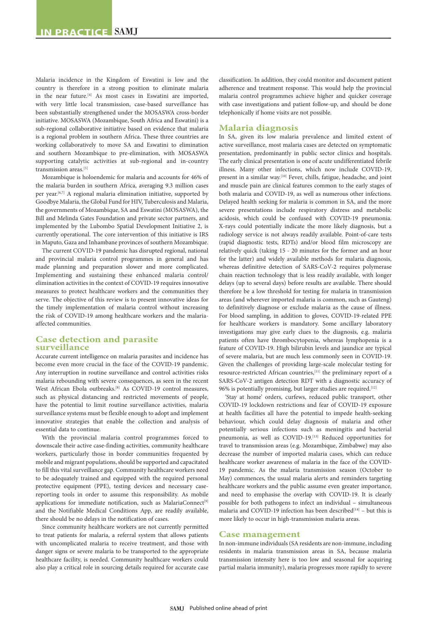Malaria incidence in the Kingdom of Eswatini is low and the country is therefore in a strong position to eliminate malaria in the near future.<sup>[4]</sup> As most cases in Eswatini are imported, with very little local transmission, case-based surveillance has been substantially strengthened under the MOSASWA cross-border initiative. MOSASWA (Mozambique, South Africa and Eswatini) is a sub-regional collaborative initiative based on evidence that malaria is a regional problem in southern Africa. These three countries are working collaboratively to move SA and Eswatini to elimination and southern Mozambique to pre-elimination, with MOSASWA supporting catalytic activities at sub-regional and in-country transmission areas.<sup>[5]</sup>

Mozambique is holoendemic for malaria and accounts for 46% of the malaria burden in southern Africa, averaging 9.3 million cases per year.<sup>[6,7]</sup> A regional malaria elimination initiative, supported by Goodbye Malaria, the Global Fund for HIV, Tuberculosis and Malaria, the governments of Mozambique, SA and Eswatini (MOSASWA), the Bill and Melinda Gates Foundation and private sector partners, and implemented by the Lubombo Spatial Development Initiative 2, is currently operational. The core intervention of this initiative is IRS in Maputo, Gaza and Inhambane provinces of southern Mozambique.

The current COVID-19 pandemic has disrupted regional, national and provincial malaria control programmes in general and has made planning and preparation slower and more complicated. Implementing and sustaining these enhanced malaria control/ elimination activities in the context of COVID-19 requires innovative measures to protect healthcare workers and the communities they serve. The objective of this review is to present innovative ideas for the timely implementation of malaria control without increasing the risk of COVID-19 among healthcare workers and the malariaaffected communities.

# **Case detection and parasite surveillance**

Accurate current intelligence on malaria parasites and incidence has become even more crucial in the face of the COVID-19 pandemic. Any interruption in routine surveillance and control activities risks malaria rebounding with severe consequences, as seen in the recent West African Ebola outbreaks.[8] As COVID-19 control measures, such as physical distancing and restricted movements of people, have the potential to limit routine surveillance activities, malaria surveillance systems must be flexible enough to adopt and implement innovative strategies that enable the collection and analysis of essential data to continue.

With the provincial malaria control programmes forced to downscale their active case-finding activities, community healthcare workers, particularly those in border communities frequented by mobile and migrant populations, should be supported and capacitated to fill this vital surveillance gap. Community healthcare workers need to be adequately trained and equipped with the required personal protective equipment (PPE), testing devices and necessary casereporting tools in order to assume this responsibility. As mobile applications for immediate notification, such as MalariaConnect<sup>[9]</sup> and the Notifiable Medical Conditions App, are readily available, there should be no delays in the notification of cases.

Since community healthcare workers are not currently permitted to treat patients for malaria, a referral system that allows patients with uncomplicated malaria to receive treatment, and those with danger signs or severe malaria to be transported to the appropriate healthcare facility, is needed. Community healthcare workers could also play a critical role in sourcing details required for accurate case

classification. In addition, they could monitor and document patient adherence and treatment response. This would help the provincial malaria control programmes achieve higher and quicker coverage with case investigations and patient follow-up, and should be done telephonically if home visits are not possible.

# **Malaria diagnosis**

In SA, given its low malaria prevalence and limited extent of active surveillance, most malaria cases are detected on symptomatic presentation, predominantly in public sector clinics and hospitals. The early clinical presentation is one of acute undifferentiated febrile illness. Many other infections, which now include COVID-19, present in a similar way.[10] Fever, chills, fatigue, headache, and joint and muscle pain are clinical features common to the early stages of both malaria and COVID-19, as well as numerous other infections. Delayed health seeking for malaria is common in SA, and the more severe presentations include respiratory distress and metabolic acidosis, which could be confused with COVID-19 pneumonia. X-rays could potentially indicate the more likely diagnosis, but a radiology service is not always readily available. Point-of-care tests (rapid diagnostic tests, RDTs) and/or blood film microscopy are relatively quick (taking 15 - 20 minutes for the former and an hour for the latter) and widely available methods for malaria diagnosis, whereas definitive detection of SARS-CoV-2 requires polymerase chain reaction technology that is less readily available, with longer delays (up to several days) before results are available. There should therefore be a low threshold for testing for malaria in transmission areas (and wherever imported malaria is common, such as Gauteng) to definitively diagnose or exclude malaria as the cause of illness. For blood sampling, in addition to gloves, COVID-19-related PPE for healthcare workers is mandatory. Some ancillary laboratory investigations may give early clues to the diagnosis, e.g. malaria patients often have thrombocytopenia, whereas lymphopenia is a feature of COVID-19. High bilirubin levels and jaundice are typical of severe malaria, but are much less commonly seen in COVID-19. Given the challenges of providing large-scale molecular testing for resource-restricted African countries,<sup>[11]</sup> the preliminary report of a SARS-CoV-2 antigen detection RDT with a diagnostic accuracy of 96% is potentially promising, but larger studies are required. $[12]$ 

'Stay at home' orders, curfews, reduced public transport, other COVID-19 lockdown restrictions and fear of COVID-19 exposure at health facilities all have the potential to impede health-seeking behaviour, which could delay diagnosis of malaria and other potentially serious infections such as meningitis and bacterial pneumonia, as well as COVID-19.<sup>[13]</sup> Reduced opportunities for travel to transmission areas (e.g. Mozambique, Zimbabwe) may also decrease the number of imported malaria cases, which can reduce healthcare worker awareness of malaria in the face of the COVID-19 pandemic. As the malaria transmission season (October to May) commences, the usual malaria alerts and reminders targeting healthcare workers and the public assume even greater importance, and need to emphasise the overlap with COVID-19. It is clearly possible for both pathogens to infect an individual – simultaneous malaria and COVID-19 infection has been described $[14]$  – but this is more likely to occur in high-transmission malaria areas.

## **Case management**

In non-immune individuals (SA residents are non-immune, including residents in malaria transmission areas in SA, because malaria transmission intensity here is too low and seasonal for acquiring partial malaria immunity), malaria progresses more rapidly to severe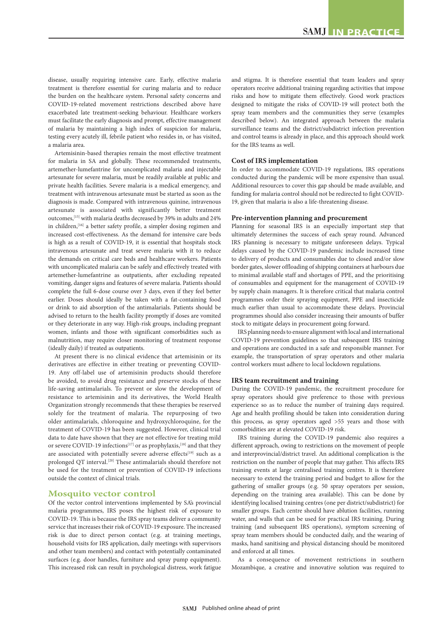disease, usually requiring intensive care. Early, effective malaria treatment is therefore essential for curing malaria and to reduce the burden on the healthcare system. Personal safety concerns and COVID-19-related movement restrictions described above have exacerbated late treatment-seeking behaviour. Healthcare workers must facilitate the early diagnosis and prompt, effective management of malaria by maintaining a high index of suspicion for malaria, testing every acutely ill, febrile patient who resides in, or has visited, a malaria area.

Artemisinin-based therapies remain the most effective treatment for malaria in SA and globally. These recommended treatments, artemether-lumefantrine for uncomplicated malaria and injectable artesunate for severe malaria, must be readily available at public and private health facilities. Severe malaria is a medical emergency, and treatment with intravenous artesunate must be started as soon as the diagnosis is made. Compared with intravenous quinine, intravenous artesunate is associated with significantly better treatment outcomes,[15] with malaria deaths decreased by 39% in adults and 24% in children,<sup>[16]</sup> a better safety profile, a simpler dosing regimen and increased cost-effectiveness. As the demand for intensive care beds is high as a result of COVID-19, it is essential that hospitals stock intravenous artesunate and treat severe malaria with it to reduce the demands on critical care beds and healthcare workers. Patients with uncomplicated malaria can be safely and effectively treated with artemether-lumefantrine as outpatients, after excluding repeated vomiting, danger signs and features of severe malaria. Patients should complete the full 6-dose course over 3 days, even if they feel better earlier. Doses should ideally be taken with a fat-containing food or drink to aid absorption of the antimalarials. Patients should be advised to return to the health facility promptly if doses are vomited or they deteriorate in any way. High-risk groups, including pregnant women, infants and those with significant comorbidities such as malnutrition, may require closer monitoring of treatment response (ideally daily) if treated as outpatients.

At present there is no clinical evidence that artemisinin or its derivatives are effective in either treating or preventing COVID-19. Any off-label use of artemisinin products should therefore be avoided, to avoid drug resistance and preserve stocks of these life-saving antimalarials. To prevent or slow the development of resistance to artemisinin and its derivatives, the World Health Organization strongly recommends that these therapies be reserved solely for the treatment of malaria. The repurposing of two older antimalarials, chloroquine and hydroxychloroquine, for the treatment of COVID-19 has been suggested. However, clinical trial data to date have shown that they are not effective for treating mild or severe COVID-19 infections<sup>[17]</sup> or as prophylaxis,<sup>[18]</sup> and that they are associated with potentially severe adverse effects<sup>[19]</sup> such as a prolonged QT interval.<sup>[20]</sup> These antimalarials should therefore not be used for the treatment or prevention of COVID-19 infections outside the context of clinical trials.

## **Mosquito vector control**

Of the vector control interventions implemented by SA's provincial malaria programmes, IRS poses the highest risk of exposure to COVID-19. This is because the IRS spray teams deliver a community service that increases their risk of COVID-19 exposure. The increased risk is due to direct person contact (e.g. at training meetings, household visits for IRS application, daily meetings with supervisors and other team members) and contact with potentially contaminated surfaces (e.g. door handles, furniture and spray pump equipment). This increased risk can result in psychological distress, work fatigue and stigma. It is therefore essential that team leaders and spray operators receive additional training regarding activities that impose risks and how to mitigate them effectively. Good work practices designed to mitigate the risks of COVID-19 will protect both the spray team members and the communities they serve (examples described below). An integrated approach between the malaria surveillance teams and the district/subdistrict infection prevention and control teams is already in place, and this approach should work for the IRS teams as well.

## **Cost of IRS implementation**

In order to accommodate COVID-19 regulations, IRS operations conducted during the pandemic will be more expensive than usual. Additional resources to cover this gap should be made available, and funding for malaria control should not be redirected to fight COVID-19, given that malaria is also a life-threatening disease.

#### **Pre-intervention planning and procurement**

Planning for seasonal IRS is an especially important step that ultimately determines the success of each spray round. Advanced IRS planning is necessary to mitigate unforeseen delays. Typical delays caused by the COVID-19 pandemic include increased time to delivery of products and consumables due to closed and/or slow border gates, slower offloading of shipping containers at harbours due to minimal available staff and shortages of PPE, and the prioritising of consumables and equipment for the management of COVID-19 by supply chain managers. It is therefore critical that malaria control programmes order their spraying equipment, PPE and insecticide much earlier than usual to accommodate these delays. Provincial programmes should also consider increasing their amounts of buffer stock to mitigate delays in procurement going forward.

IRS planning needs to ensure alignment with local and international COVID-19 prevention guidelines so that subsequent IRS training and operations are conducted in a safe and responsible manner. For example, the transportation of spray operators and other malaria control workers must adhere to local lockdown regulations.

#### **IRS team recruitment and training**

During the COVID-19 pandemic, the recruitment procedure for spray operators should give preference to those with previous experience so as to reduce the number of training days required. Age and health profiling should be taken into consideration during this process, as spray operators aged >55 years and those with comorbidities are at elevated COVID-19 risk.

IRS training during the COVID-19 pandemic also requires a different approach, owing to restrictions on the movement of people and interprovincial/district travel. An additional complication is the restriction on the number of people that may gather. This affects IRS training events at large centralised training centres. It is therefore necessary to extend the training period and budget to allow for the gathering of smaller groups (e.g. 50 spray operators per session, depending on the training area available). This can be done by identifying localised training centres (one per district/subdistrict) for smaller groups. Each centre should have ablution facilities, running water, and walls that can be used for practical IRS training. During training (and subsequent IRS operations), symptom screening of spray team members should be conducted daily, and the wearing of masks, hand sanitising and physical distancing should be monitored and enforced at all times.

As a consequence of movement restrictions in southern Mozambique, a creative and innovative solution was required to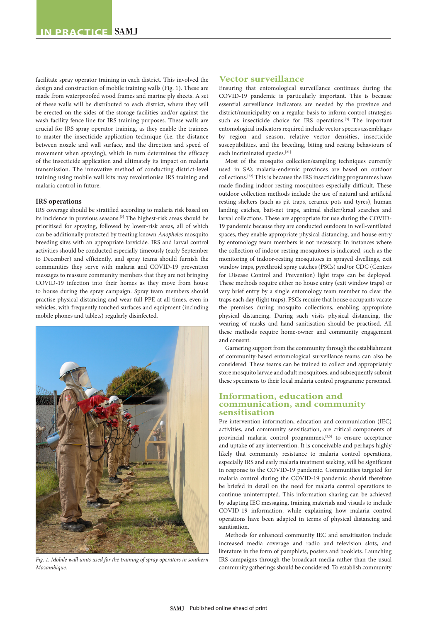facilitate spray operator training in each district. This involved the design and construction of mobile training walls (Fig. 1). These are made from waterproofed wood frames and marine ply sheets. A set of these walls will be distributed to each district, where they will be erected on the sides of the storage facilities and/or against the wash facility fence line for IRS training purposes. These walls are crucial for IRS spray operator training, as they enable the trainees to master the insecticide application technique (i.e. the distance between nozzle and wall surface, and the direction and speed of movement when spraying), which in turn determines the efficacy of the insecticide application and ultimately its impact on malaria transmission. The innovative method of conducting district-level training using mobile wall kits may revolutionise IRS training and malaria control in future.

## **IRS operations**

IRS coverage should be stratified according to malaria risk based on its incidence in previous seasons.[3] The highest-risk areas should be prioritised for spraying, followed by lower-risk areas, all of which can be additionally protected by treating known *Anopheles* mosquito breeding sites with an appropriate larvicide. IRS and larval control activities should be conducted especially timeously (early September to December) and efficiently, and spray teams should furnish the communities they serve with malaria and COVID-19 prevention messages to reassure community members that they are not bringing COVID-19 infection into their homes as they move from house to house during the spray campaign. Spray team members should practise physical distancing and wear full PPE at all times, even in vehicles, with frequently touched surfaces and equipment (including mobile phones and tablets) regularly disinfected.



*Fig. 1. Mobile wall units used for the training of spray operators in southern Mozambique.* 

# **Vector surveillance**

Ensuring that entomological surveillance continues during the COVID-19 pandemic is particularly important. This is because essential surveillance indicators are needed by the province and district/municipality on a regular basis to inform control strategies such as insecticide choice for IRS operations.<sup>[3]</sup> The important entomological indicators required include vector species assemblages by region and season, relative vector densities, insecticide susceptibilities, and the breeding, biting and resting behaviours of each incriminated species.[21]

Most of the mosquito collection/sampling techniques currently used in SA's malaria-endemic provinces are based on outdoor collections.[22] This is because the IRS insecticiding programmes have made finding indoor-resting mosquitoes especially difficult. These outdoor collection methods include the use of natural and artificial resting shelters (such as pit traps, ceramic pots and tyres), human landing catches, bait-net traps, animal shelter/kraal searches and larval collections. These are appropriate for use during the COVID-19 pandemic because they are conducted outdoors in well-ventilated spaces, they enable appropriate physical distancing, and house entry by entomology team members is not necessary. In instances where the collection of indoor-resting mosquitoes is indicated, such as the monitoring of indoor-resting mosquitoes in sprayed dwellings, exit window traps, pyrethroid spray catches (PSCs) and/or CDC (Centers for Disease Control and Prevention) light traps can be deployed. These methods require either no house entry (exit window traps) or very brief entry by a single entomology team member to clear the traps each day (light traps). PSCs require that house occupants vacate the premises during mosquito collections, enabling appropriate physical distancing. During such visits physical distancing, the wearing of masks and hand sanitisation should be practised. All these methods require home-owner and community engagement and consent.

Garnering support from the community through the establishment of community-based entomological surveillance teams can also be considered. These teams can be trained to collect and appropriately store mosquito larvae and adult mosquitoes, and subsequently submit these specimens to their local malaria control programme personnel.

# **Information, education and communication, and community sensitisation**

Pre-intervention information, education and communication (IEC) activities, and community sensitisation, are critical components of provincial malaria control programmes,[3,5] to ensure acceptance and uptake of any intervention. It is conceivable and perhaps highly likely that community resistance to malaria control operations, especially IRS and early malaria treatment seeking, will be significant in response to the COVID-19 pandemic. Communities targeted for malaria control during the COVID-19 pandemic should therefore be briefed in detail on the need for malaria control operations to continue uninterrupted. This information sharing can be achieved by adapting IEC messaging, training materials and visuals to include COVID-19 information, while explaining how malaria control operations have been adapted in terms of physical distancing and sanitisation.

Methods for enhanced community IEC and sensitisation include increased media coverage and radio and television slots, and literature in the form of pamphlets, posters and booklets. Launching IRS campaigns through the broadcast media rather than the usual community gatherings should be considered. To establish community